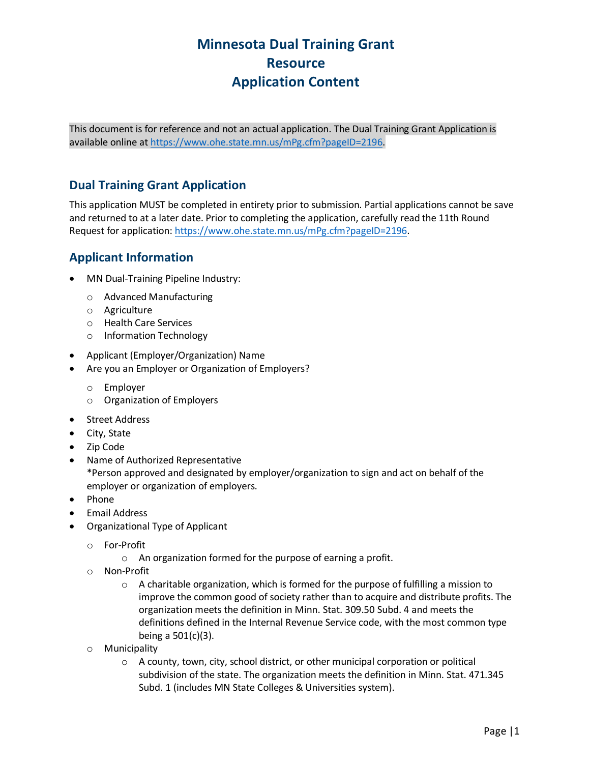# **Minnesota Dual Training Grant Resource Application Content**

This document is for reference and not an actual application. The Dual Training Grant Application is available online at [https://www.ohe.state.mn.us/mPg.cfm?pageID=2196.](https://www.ohe.state.mn.us/mPg.cfm?pageID=2196)

## **Dual Training Grant Application**

This application MUST be completed in entirety prior to submission. Partial applications cannot be save and returned to at a later date. Prior to completing the application, carefully read the 11th Round Request for application[: https://www.ohe.state.mn.us/mPg.cfm?pageID=2196.](https://www.ohe.state.mn.us/mPg.cfm?pageID=2196)

### **Applicant Information**

- MN Dual-Training Pipeline Industry:
	- o Advanced Manufacturing
	- o Agriculture
	- o Health Care Services
	- o Information Technology
- Applicant (Employer/Organization) Name
- Are you an Employer or Organization of Employers?
	- o Employer
	- o Organization of Employers
- Street Address
- City, State
- Zip Code
- Name of Authorized Representative \*Person approved and designated by employer/organization to sign and act on behalf of the employer or organization of employers.
- Phone
- Email Address
- Organizational Type of Applicant
	- o For-Profit
		- o An organization formed for the purpose of earning a profit.
	- o Non-Profit
		- $\circ$  A charitable organization, which is formed for the purpose of fulfilling a mission to improve the common good of society rather than to acquire and distribute profits. The organization meets the definition in Minn. Stat. 309.50 Subd. 4 and meets the definitions defined in the Internal Revenue Service code, with the most common type being a 501(c)(3).
	- o Municipality
		- o A county, town, city, school district, or other municipal corporation or political subdivision of the state. The organization meets the definition in Minn. Stat. 471.345 Subd. 1 (includes MN State Colleges & Universities system).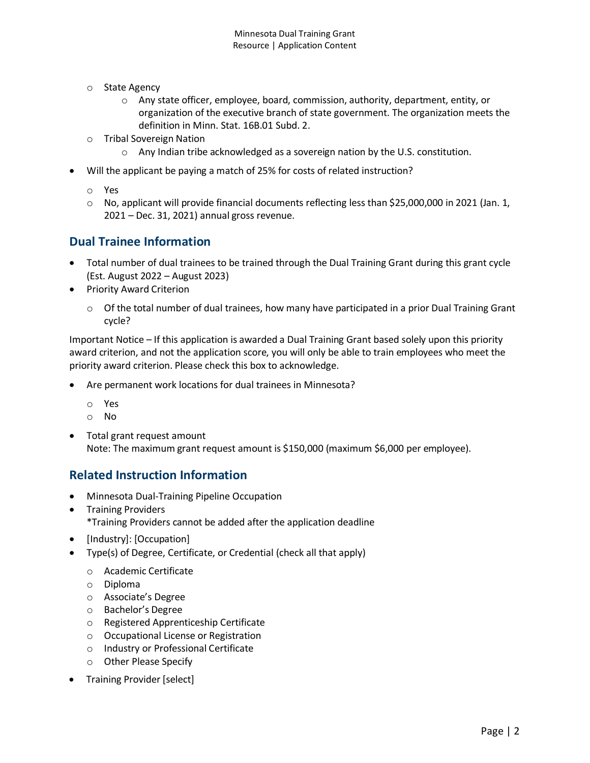- o State Agency
	- $\circ$  Any state officer, employee, board, commission, authority, department, entity, or organization of the executive branch of state government. The organization meets the definition in Minn. Stat. 16B.01 Subd. 2.
- o Tribal Sovereign Nation
	- $\circ$  Any Indian tribe acknowledged as a sovereign nation by the U.S. constitution.
- Will the applicant be paying a match of 25% for costs of related instruction?
	- o Yes
	- o No, applicant will provide financial documents reflecting less than \$25,000,000 in 2021 (Jan. 1, 2021 – Dec. 31, 2021) annual gross revenue.

#### **Dual Trainee Information**

- Total number of dual trainees to be trained through the Dual Training Grant during this grant cycle (Est. August 2022 – August 2023)
- Priority Award Criterion
	- $\circ$  Of the total number of dual trainees, how many have participated in a prior Dual Training Grant cycle?

Important Notice – If this application is awarded a Dual Training Grant based solely upon this priority award criterion, and not the application score, you will only be able to train employees who meet the priority award criterion. Please check this box to acknowledge.

- Are permanent work locations for dual trainees in Minnesota?
	- o Yes
	- o No
- Total grant request amount Note: The maximum grant request amount is \$150,000 (maximum \$6,000 per employee).

#### **Related Instruction Information**

- Minnesota Dual-Training Pipeline Occupation
- Training Providers \*Training Providers cannot be added after the application deadline
- [Industry]: [Occupation]
- Type(s) of Degree, Certificate, or Credential (check all that apply)
	- o Academic Certificate
	- o Diploma
	- o Associate's Degree
	- o Bachelor's Degree
	- o Registered Apprenticeship Certificate
	- o Occupational License or Registration
	- o Industry or Professional Certificate
	- o Other Please Specify
- Training Provider [select]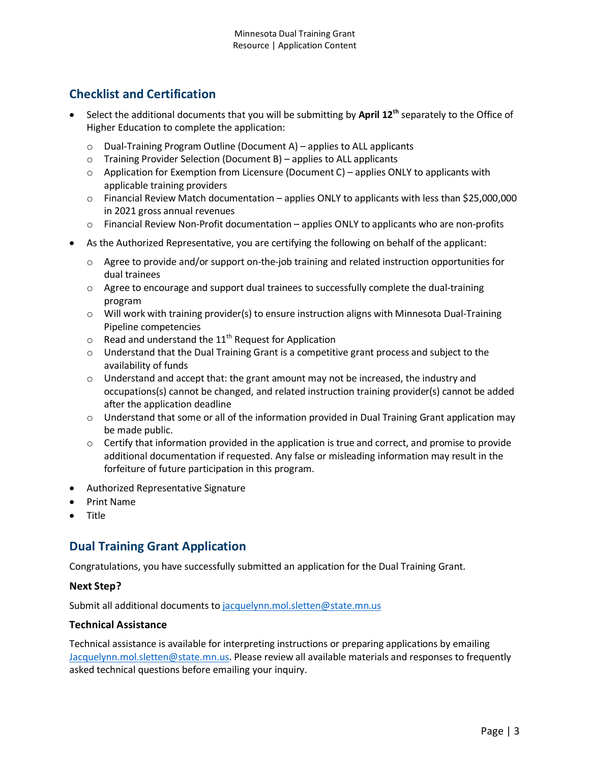# **Checklist and Certification**

- Select the additional documents that you will be submitting by **April 12th** separately to the Office of Higher Education to complete the application:
	- o Dual-Training Program Outline (Document A) applies to ALL applicants
	- o Training Provider Selection (Document B) applies to ALL applicants
	- $\circ$  Application for Exemption from Licensure (Document C) applies ONLY to applicants with applicable training providers
	- o Financial Review Match documentation applies ONLY to applicants with less than \$25,000,000 in 2021 gross annual revenues
	- $\circ$  Financial Review Non-Profit documentation applies ONLY to applicants who are non-profits
- As the Authorized Representative, you are certifying the following on behalf of the applicant:
	- $\circ$  Agree to provide and/or support on-the-job training and related instruction opportunities for dual trainees
	- $\circ$  Agree to encourage and support dual trainees to successfully complete the dual-training program
	- $\circ$  Will work with training provider(s) to ensure instruction aligns with Minnesota Dual-Training Pipeline competencies
	- $\circ$  Read and understand the 11<sup>th</sup> Request for Application
	- $\circ$  Understand that the Dual Training Grant is a competitive grant process and subject to the availability of funds
	- $\circ$  Understand and accept that: the grant amount may not be increased, the industry and occupations(s) cannot be changed, and related instruction training provider(s) cannot be added after the application deadline
	- $\circ$  Understand that some or all of the information provided in Dual Training Grant application may be made public.
	- $\circ$  Certify that information provided in the application is true and correct, and promise to provide additional documentation if requested. Any false or misleading information may result in the forfeiture of future participation in this program.
- Authorized Representative Signature
- Print Name
- Title

## **Dual Training Grant Application**

Congratulations, you have successfully submitted an application for the Dual Training Grant.

#### **Next Step?**

Submit all additional documents to [jacquelynn.mol.sletten@state.mn.us](mailto:jacquelynn.mol.sletten@state.mn.us)

#### **Technical Assistance**

Technical assistance is available for interpreting instructions or preparing applications by emailing [Jacquelynn.mol.sletten@state.mn.us.](mailto:Jacquelynn.mol.sletten@state.mn.us) Please review all available materials and responses to frequently asked technical questions before emailing your inquiry.